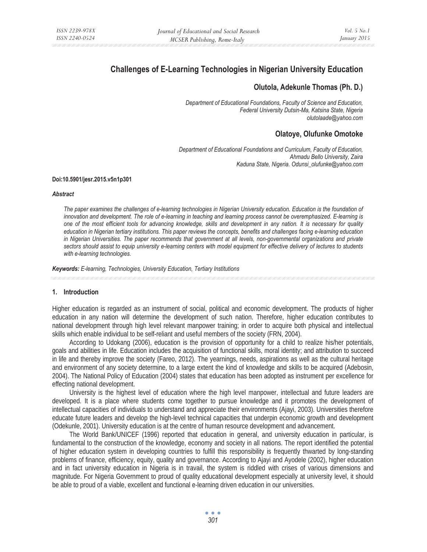# **Challenges of E-Learning Technologies in Nigerian University Education**

# **Olutola, Adekunle Thomas (Ph. D.)**

*Department of Educational Foundations, Faculty of Science and Education, Federal University Dutsin-Ma, Katsina State, Nigeria olutolaade@yahoo.com* 

# **Olatoye, Olufunke Omotoke**

*Department of Educational Foundations and Curriculum, Faculty of Education, Ahmadu Bello University, Zaira Kaduna State, Nigeria. Odunsi\_olufunke@yahoo.com* 

#### **Doi:10.5901/jesr.2015.v5n1p301**

#### *Abstract*

*The paper examines the challenges of e-learning technologies in Nigerian University education. Education is the foundation of innovation and development. The role of e-learning in teaching and learning process cannot be overemphasized. E-learning is one of the most efficient tools for advancing knowledge, skills and development in any nation. It is necessary for quality education in Nigerian tertiary institutions. This paper reviews the concepts, benefits and challenges facing e-learning education in Nigerian Universities. The paper recommends that government at all levels, non-governmental organizations and private sectors should assist to equip university e-learning centers with model equipment for effective delivery of lectures to students with e-learning technologies.* 

*Keywords: E-learning, Technologies, University Education, Tertiary Institutions*

#### **1. Introduction**

Higher education is regarded as an instrument of social, political and economic development. The products of higher education in any nation will determine the development of such nation. Therefore, higher education contributes to national development through high level relevant manpower training; in order to acquire both physical and intellectual skills which enable individual to be self-reliant and useful members of the society (FRN, 2004).

According to Udokang (2006), education is the provision of opportunity for a child to realize his/her potentials, goals and abilities in life. Education includes the acquisition of functional skills, moral identity; and attribution to succeed in life and thereby improve the society (Fareo, 2012). The yearnings, needs, aspirations as well as the cultural heritage and environment of any society determine, to a large extent the kind of knowledge and skills to be acquired (Adebosin, 2004). The National Policy of Education (2004) states that education has been adopted as instrument per excellence for effecting national development.

University is the highest level of education where the high level manpower, intellectual and future leaders are developed. It is a place where students come together to pursue knowledge and it promotes the development of intellectual capacities of individuals to understand and appreciate their environments (Ajayi, 2003). Universities therefore educate future leaders and develop the high-level technical capacities that underpin economic growth and development (Odekunle, 2001). University education is at the centre of human resource development and advancement.

The World Bank/UNICEF (1996) reported that education in general, and university education in particular, is fundamental to the construction of the knowledge, economy and society in all nations. The report identified the potential of higher education system in developing countries to fulfill this responsibility is frequently thwarted by long-standing problems of finance, efficiency, equity, quality and governance. According to Ajayi and Ayodele (2002), higher education and in fact university education in Nigeria is in travail, the system is riddled with crises of various dimensions and magnitude. For Nigeria Government to proud of quality educational development especially at university level, it should be able to proud of a viable, excellent and functional e-learning driven education in our universities.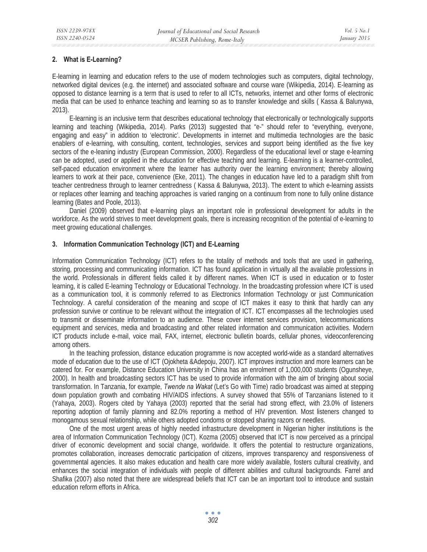## **2. What is E-Learning?**

E-learning in learning and education refers to the use of modern technologies such as computers, digital technology, networked digital devices (e.g. the internet) and associated software and course ware (Wikipedia, 2014). E-learning as opposed to distance learning is a term that is used to refer to all ICTs, networks, internet and other forms of electronic media that can be used to enhance teaching and learning so as to transfer knowledge and skills ( Kassa & Balunywa, 2013).

E-learning is an inclusive term that describes educational technology that electronically or technologically supports learning and teaching (Wikipedia, 2014). Parks (2013) suggested that "e-" should refer to "everything, everyone, engaging and easy" in addition to 'electronic'. Developments in internet and multimedia technologies are the basic enablers of e-learning, with consulting, content, technologies, services and support being identified as the five key sectors of the e-leaning industry (European Commission, 2000). Regardless of the educational level or stage e-learning can be adopted, used or applied in the education for effective teaching and learning. E-learning is a learner-controlled, self-paced education environment where the learner has authority over the learning environment; thereby allowing learners to work at their pace, convenience (Eke, 2011). The changes in education have led to a paradigm shift from teacher centredness through to learner centredness ( Kassa & Balunywa, 2013). The extent to which e-learning assists or replaces other learning and teaching approaches is varied ranging on a continuum from none to fully online distance learning (Bates and Poole, 2013).

Daniel (2009) observed that e-learning plays an important role in professional development for adults in the workforce. As the world strives to meet development goals, there is increasing recognition of the potential of e-learning to meet growing educational challenges.

## **3. Information Communication Technology (ICT) and E-Learning**

Information Communication Technology (ICT) refers to the totality of methods and tools that are used in gathering, storing, processing and communicating information. ICT has found application in virtually all the available professions in the world. Professionals in different fields called it by different names. When ICT is used in education or to foster learning, it is called E-learning Technology or Educational Technology. In the broadcasting profession where ICT is used as a communication tool, it is commonly referred to as Electronics Information Technology or just Communication Technology. A careful consideration of the meaning and scope of ICT makes it easy to think that hardly can any profession survive or continue to be relevant without the integration of ICT. ICT encompasses all the technologies used to transmit or disseminate information to an audience. These cover internet services provision, telecommunications equipment and services, media and broadcasting and other related information and communication activities. Modern ICT products include e-mail, voice mail, FAX, internet, electronic bulletin boards, cellular phones, videoconferencing among others.

In the teaching profession, distance education programme is now accepted world-wide as a standard alternatives mode of education due to the use of ICT (Ojokheta &Adepoju, 2007). ICT improves instruction and more learners can be catered for. For example, Distance Education University in China has an enrolment of 1,000,000 students (Ogunsheye, 2000). In health and broadcasting sectors ICT has be used to provide information with the aim of bringing about social transformation. In Tanzania, for example, *Twende na Wakat* (Let's Go with Time) radio broadcast was aimed at stepping down population growth and combating HIV/AIDS infections. A survey showed that 55% of Tanzanians listened to it (Yahaya, 2003). Rogers cited by Yahaya (2003) reported that the serial had strong effect, with 23.0% of listeners reporting adoption of family planning and 82.0% reporting a method of HIV prevention. Most listeners changed to monogamous sexual relationship, while others adopted condoms or stopped sharing razors or needles.

One of the most urgent areas of highly needed infrastructure development in Nigerian higher institutions is the area of Information Communication Technology (ICT). Kozma (2005) observed that ICT is now perceived as a principal driver of economic development and social change, worldwide. It offers the potential to restructure organizations, promotes collaboration, increases democratic participation of citizens, improves transparency and responsiveness of governmental agencies. It also makes education and health care more widely available, fosters cultural creativity, and enhances the social integration of individuals with people of different abilities and cultural backgrounds. Farrel and Shafika (2007) also noted that there are widespread beliefs that ICT can be an important tool to introduce and sustain education reform efforts in Africa.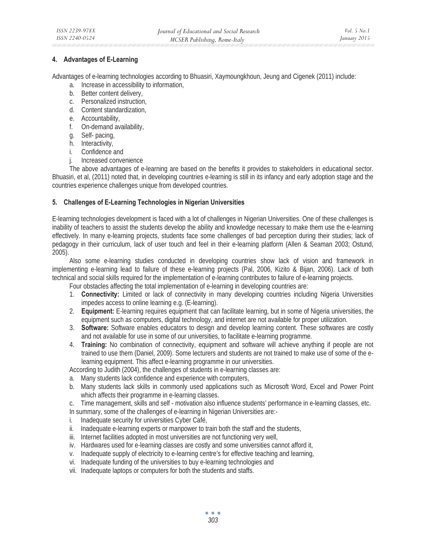# **4. Advantages of E-Learning**

Advantages of e-learning technologies according to Bhuasiri, Xaymoungkhoun, Jeung and Cigenek (2011) include:

- a. Increase in accessibility to information,
- b. Better content delivery,
- c. Personalized instruction,
- d. Content standardization,
- e. Accountability,
- f. On-demand availability,
- g. Self- pacing,
- h. Interactivity,
- i. Confidence and
- j. Increased convenience

The above advantages of e-learning are based on the benefits it provides to stakeholders in educational sector. Bhuasiri, et al, (2011) noted that, in developing countries e-learning is still in its infancy and early adoption stage and the countries experience challenges unique from developed countries.

## **5. Challenges of E-Learning Technologies in Nigerian Universities**

E-learning technologies development is faced with a lot of challenges in Nigerian Universities. One of these challenges is inability of teachers to assist the students develop the ability and knowledge necessary to make them use the e-learning effectively. In many e-learning projects, students face some challenges of bad perception during their studies; lack of pedagogy in their curriculum, lack of user touch and feel in their e-learning platform (Allen & Seaman 2003; Ostund, 2005).

Also some e-learning studies conducted in developing countries show lack of vision and framework in implementing e-learning lead to failure of these e-learning projects (Pal, 2006, Kizito & Bijan, 2006). Lack of both technical and social skills required for the implementation of e-learning contributes to failure of e-learning projects.

Four obstacles affecting the total implementation of e-learning in developing countries are:

- 1. **Connectivity:** Limited or lack of connectivity in many developing countries including Nigeria Universities impedes access to online learning e.g. (E-learning).
- 2. **Equipment:** E-learning requires equipment that can facilitate learning, but in some of Nigeria universities, the equipment such as computers, digital technology, and internet are not available for proper utilization.
- 3. **Software:** Software enables educators to design and develop learning content. These softwares are costly and not available for use in some of our universities, to facilitate e-learning programme.
- 4. **Training:** No combination of connectivity, equipment and software will achieve anything if people are not trained to use them (Daniel, 2009). Some lecturers and students are not trained to make use of some of the elearning equipment. This affect e-learning programme in our universities.

According to Judith (2004), the challenges of students in e-learning classes are:

- a. Many students lack confidence and experience with computers,
- b. Many students lack skills in commonly used applications such as Microsoft Word, Excel and Power Point which affects their programme in e-learning classes.
- c. Time management, skills and self motivation also influence students' performance in e-learning classes, etc.
- In summary, some of the challenges of e-learning in Nigerian Universities are:-
- i. Inadequate security for universities Cyber Café,
- ii. Inadequate e-learning experts or manpower to train both the staff and the students,
- iii. Internet facilities adopted in most universities are not functioning very well,
- iv. Hardwares used for e-learning classes are costly and some universities cannot afford it,
- v. Inadequate supply of electricity to e-learning centre's for effective teaching and learning,
- vi. Inadequate funding of the universities to buy e-learning technologies and
- vii. Inadequate laptops or computers for both the students and staffs.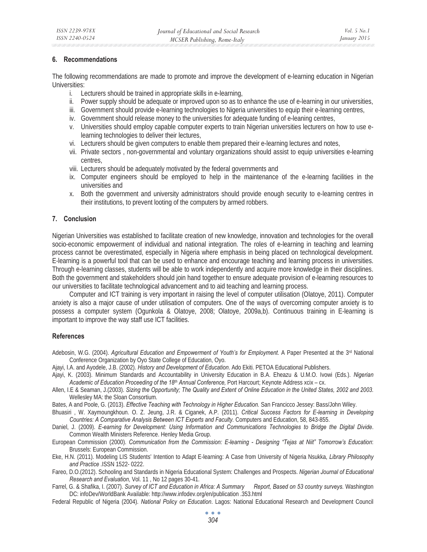## **6. Recommendations**

The following recommendations are made to promote and improve the development of e-learning education in Nigerian Universities:

- i. Lecturers should be trained in appropriate skills in e-learning,
- ii. Power supply should be adequate or improved upon so as to enhance the use of e-learning in our universities,
- iii. Government should provide e-learning technologies to Nigeria universities to equip their e-learning centres,
- iv. Government should release money to the universities for adequate funding of e-leaning centres,
- v. Universities should employ capable computer experts to train Nigerian universities lecturers on how to use elearning technologies to deliver their lectures,
- vi. Lecturers should be given computers to enable them prepared their e-learning lectures and notes,
- vii. Private sectors , non-governmental and voluntary organizations should assist to equip universities e-learning centres,
- viii. Lecturers should be adequately motivated by the federal governments and
- ix. Computer engineers should be employed to help in the maintenance of the e-learning facilities in the universities and
- x. Both the government and university administrators should provide enough security to e-learning centres in their institutions, to prevent looting of the computers by armed robbers.

## **7. Conclusion**

Nigerian Universities was established to facilitate creation of new knowledge, innovation and technologies for the overall socio-economic empowerment of individual and national integration. The roles of e-learning in teaching and learning process cannot be overestimated, especially in Nigeria where emphasis in being placed on technological development. E-learning is a powerful tool that can be used to enhance and encourage teaching and learning process in universities. Through e-learning classes, students will be able to work independently and acquire more knowledge in their disciplines. Both the government and stakeholders should join hand together to ensure adequate provision of e-learning resources to our universities to facilitate technological advancement and to aid teaching and learning process.

Computer and ICT training is very important in raising the level of computer utilisation (Olatoye, 2011). Computer anxiety is also a major cause of under utilisation of computers. One of the ways of overcoming computer anxiety is to possess a computer system (Ogunkola & Olatoye, 2008; Olatoye, 2009a,b). Continuous training in E-learning is important to improve the way staff use ICT facilities.

#### **References**

- Adebosin, W.G. (2004). Agricultural Education and Empowerment of Youth's for Employment. A Paper Presented at the 3<sup>rd</sup> National Conference Organization by Oyo State College of Education, Oyo.
- Ajayi, I.A. and Ayodele, J.B. (2002). *History and Development of Education*. Ado Ekiti. PETOA Educational Publishers.
- Ajayi, K. (2003). Minimum Standards and Accountability in University Education in B.A. Eheazu & U.M.O. Ivowi (Eds.). *Nigerian Academic of Education Proceeding of the 18th Annual Conference,* Port Harcourt; Keynote Address xcix – cx.
- Allen, I.E & Seaman, J.(2003). *Sizing the Opportunity; The Quality and Extent of Online Education in the United States, 2002 and 2003.* Wellesley MA: the Sloan Consortium.
- Bates, A and Poole, G. (2013). *Effective Teaching with Technology in Higher Education.* San Francicco Jessey: Bass/John Wiley.
- Bhuasiri , W. Xaymoungkhoun. O. Z. Jeung, J.R. & Ciganek, A.P. (2011). *Critical Success Factors for E-learning in Developing Countries: A Comparative Analysis Between ICT Experts and Faculty.* Computers and Education, 58, 843-855.
- Daniel, J. (2009). *E-earning for Development: Using Information and Communications Technologies to Bridge the Digital Divide*. Common Wealth Ministers Reference. Henley Media Group.
- European Commission (2000). *Communication from the Commission: E-learning Designing "Tejas at Niit" Tomorrow's Education*: Brussels: European Commission.
- Eke, H.N. (2011). Modeling LIS Students' Intention to Adapt E-learning: A Case from University of Nigeria Nsukka, *Library Philosophy and Practice* .ISSN 1522- 0222.
- Fareo, D.O.(2012). Schooling and Standards in Nigeria Educational System: Challenges and Prospects. *Nigerian Journal of Educational Research and Evaluation,* Vol. 11 , No 12 pages 30-41.
- Farrel, G. & Shafika, I. (2007). *Survey of ICT and Education in Africa: A Summary Report, Based on 53 country surveys.* Washington DC: infoDev/WorldBank Available: http://www.infodev.org/en/publication .353.html
- Federal Republic of Nigeria (2004). *National Policy on Education*. Lagos: National Educational Research and Development Council